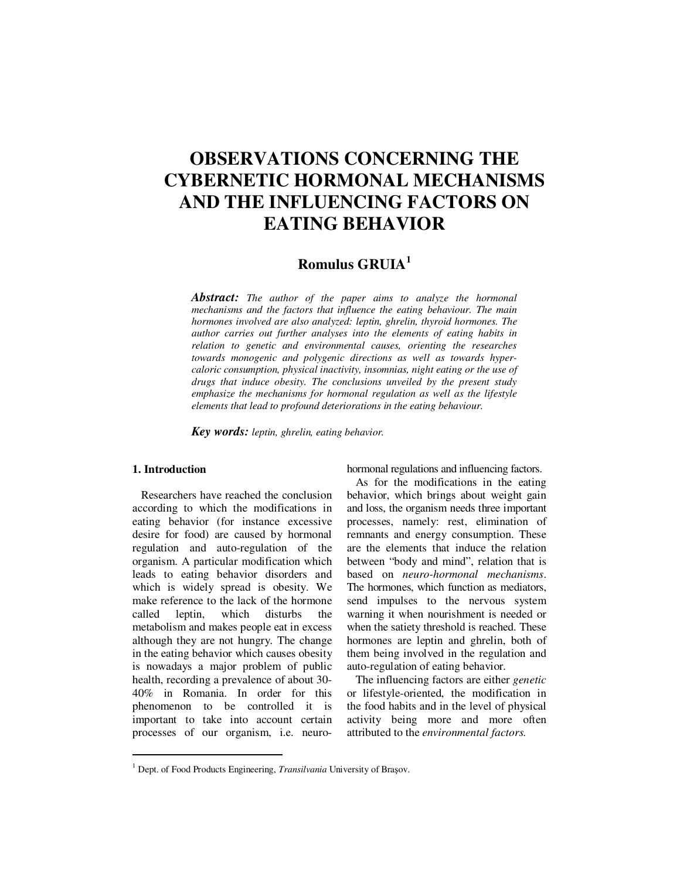# **OBSERVATIONS CONCERNING THE CYBERNETIC HORMONAL MECHANISMS AND THE INFLUENCING FACTORS ON EATING BEHAVIOR**

# **Romulus GRUIA<sup>1</sup>**

*Abstract: The author of the paper aims to analyze the hormonal mechanisms and the factors that influence the eating behaviour. The main hormones involved are also analyzed: leptin, ghrelin, thyroid hormones. The author carries out further analyses into the elements of eating habits in relation to genetic and environmental causes, orienting the researches towards monogenic and polygenic directions as well as towards hypercaloric consumption, physical inactivity, insomnias, night eating or the use of drugs that induce obesity. The conclusions unveiled by the present study emphasize the mechanisms for hormonal regulation as well as the lifestyle elements that lead to profound deteriorations in the eating behaviour.* 

*Key words: leptin, ghrelin, eating behavior.*

# **1. Introduction**

 $\ddot{ }$ 

Researchers have reached the conclusion according to which the modifications in eating behavior (for instance excessive desire for food) are caused by hormonal regulation and auto-regulation of the organism. A particular modification which leads to eating behavior disorders and which is widely spread is obesity. We make reference to the lack of the hormone called leptin, which disturbs the metabolism and makes people eat in excess although they are not hungry. The change in the eating behavior which causes obesity is nowadays a major problem of public health, recording a prevalence of about 30- 40% in Romania. In order for this phenomenon to be controlled it is important to take into account certain processes of our organism, i.e. neurohormonal regulations and influencing factors.

As for the modifications in the eating behavior, which brings about weight gain and loss, the organism needs three important processes, namely: rest, elimination of remnants and energy consumption. These are the elements that induce the relation between "body and mind", relation that is based on *neuro-hormonal mechanisms*. The hormones, which function as mediators, send impulses to the nervous system warning it when nourishment is needed or when the satiety threshold is reached. These hormones are leptin and ghrelin, both of them being involved in the regulation and auto-regulation of eating behavior.

The influencing factors are either *genetic*  or lifestyle-oriented, the modification in the food habits and in the level of physical activity being more and more often attributed to the *environmental factors.*

<sup>&</sup>lt;sup>1</sup> Dept. of Food Products Engineering, *Transilvania* University of Brașov.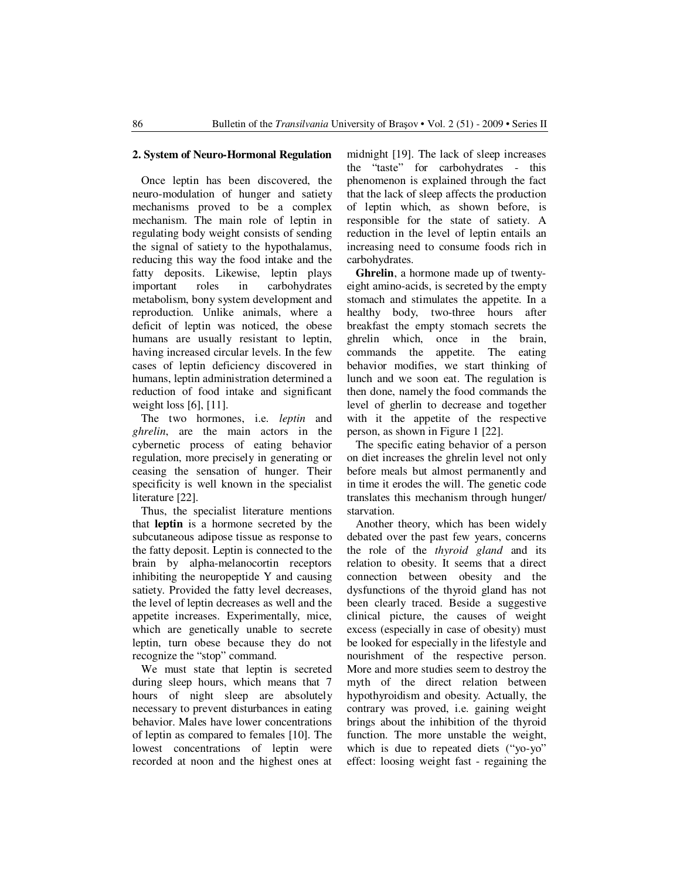#### **2. System of Neuro-Hormonal Regulation**

Once leptin has been discovered, the neuro-modulation of hunger and satiety mechanisms proved to be a complex mechanism. The main role of leptin in regulating body weight consists of sending the signal of satiety to the hypothalamus, reducing this way the food intake and the fatty deposits. Likewise, leptin plays important roles in carbohydrates metabolism, bony system development and reproduction. Unlike animals, where a deficit of leptin was noticed, the obese humans are usually resistant to leptin, having increased circular levels. In the few cases of leptin deficiency discovered in humans, leptin administration determined a reduction of food intake and significant weight loss [6], [11].

The two hormones, i.e. *leptin* and *ghrelin*, are the main actors in the cybernetic process of eating behavior regulation, more precisely in generating or ceasing the sensation of hunger. Their specificity is well known in the specialist literature [22].

Thus, the specialist literature mentions that **leptin** is a hormone secreted by the subcutaneous adipose tissue as response to the fatty deposit. Leptin is connected to the brain by alpha-melanocortin receptors inhibiting the neuropeptide Y and causing satiety. Provided the fatty level decreases, the level of leptin decreases as well and the appetite increases. Experimentally, mice, which are genetically unable to secrete leptin, turn obese because they do not recognize the "stop" command.

We must state that leptin is secreted during sleep hours, which means that 7 hours of night sleep are absolutely necessary to prevent disturbances in eating behavior. Males have lower concentrations of leptin as compared to females [10]. The lowest concentrations of leptin were recorded at noon and the highest ones at midnight [19]. The lack of sleep increases the "taste" for carbohydrates - this phenomenon is explained through the fact that the lack of sleep affects the production of leptin which, as shown before, is responsible for the state of satiety. A reduction in the level of leptin entails an increasing need to consume foods rich in carbohydrates.

**Ghrelin**, a hormone made up of twentyeight amino-acids, is secreted by the empty stomach and stimulates the appetite. In a healthy body, two-three hours after breakfast the empty stomach secrets the ghrelin which, once in the brain, commands the appetite. The eating behavior modifies, we start thinking of lunch and we soon eat. The regulation is then done, namely the food commands the level of gherlin to decrease and together with it the appetite of the respective person, as shown in Figure 1 [22].

The specific eating behavior of a person on diet increases the ghrelin level not only before meals but almost permanently and in time it erodes the will. The genetic code translates this mechanism through hunger/ starvation.

Another theory, which has been widely debated over the past few years, concerns the role of the *thyroid gland* and its relation to obesity. It seems that a direct connection between obesity and the dysfunctions of the thyroid gland has not been clearly traced. Beside a suggestive clinical picture, the causes of weight excess (especially in case of obesity) must be looked for especially in the lifestyle and nourishment of the respective person. More and more studies seem to destroy the myth of the direct relation between hypothyroidism and obesity. Actually, the contrary was proved, i.e. gaining weight brings about the inhibition of the thyroid function. The more unstable the weight, which is due to repeated diets ("yo-yo" effect: loosing weight fast - regaining the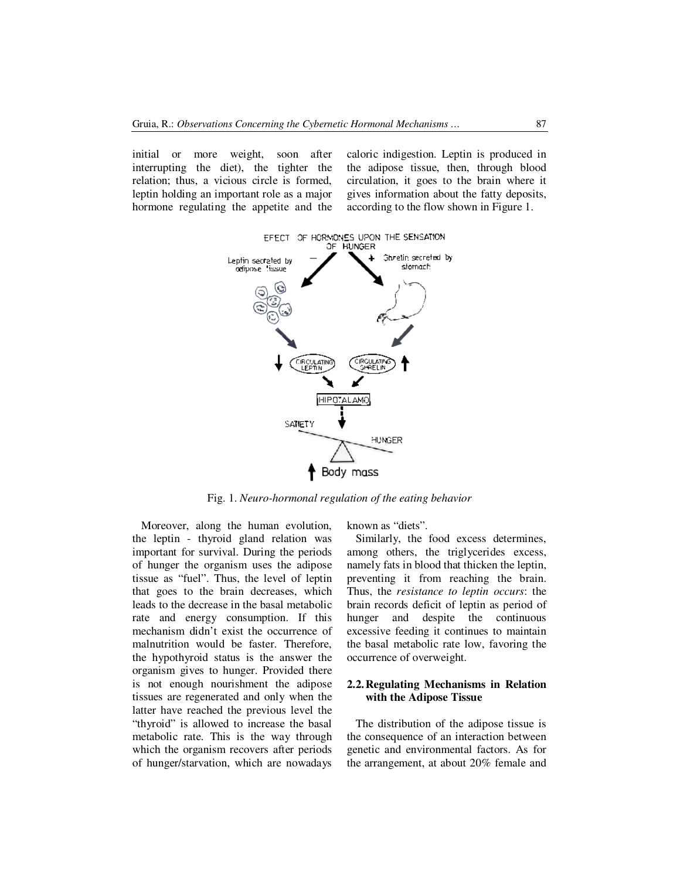initial or more weight, soon after interrupting the diet), the tighter the relation; thus, a vicious circle is formed, leptin holding an important role as a major hormone regulating the appetite and the caloric indigestion. Leptin is produced in the adipose tissue, then, through blood circulation, it goes to the brain where it gives information about the fatty deposits, according to the flow shown in Figure 1.



Fig. 1. *Neuro-hormonal regulation of the eating behavior* 

Moreover, along the human evolution, the leptin - thyroid gland relation was important for survival. During the periods of hunger the organism uses the adipose tissue as "fuel". Thus, the level of leptin that goes to the brain decreases, which leads to the decrease in the basal metabolic rate and energy consumption. If this mechanism didn't exist the occurrence of malnutrition would be faster. Therefore, the hypothyroid status is the answer the organism gives to hunger. Provided there is not enough nourishment the adipose tissues are regenerated and only when the latter have reached the previous level the "thyroid" is allowed to increase the basal metabolic rate. This is the way through which the organism recovers after periods of hunger/starvation, which are nowadays

known as "diets".

Similarly, the food excess determines, among others, the triglycerides excess, namely fats in blood that thicken the leptin, preventing it from reaching the brain. Thus, the *resistance to leptin occurs*: the brain records deficit of leptin as period of hunger and despite the continuous excessive feeding it continues to maintain the basal metabolic rate low, favoring the occurrence of overweight.

## **2.2.Regulating Mechanisms in Relation with the Adipose Tissue**

The distribution of the adipose tissue is the consequence of an interaction between genetic and environmental factors. As for the arrangement, at about 20% female and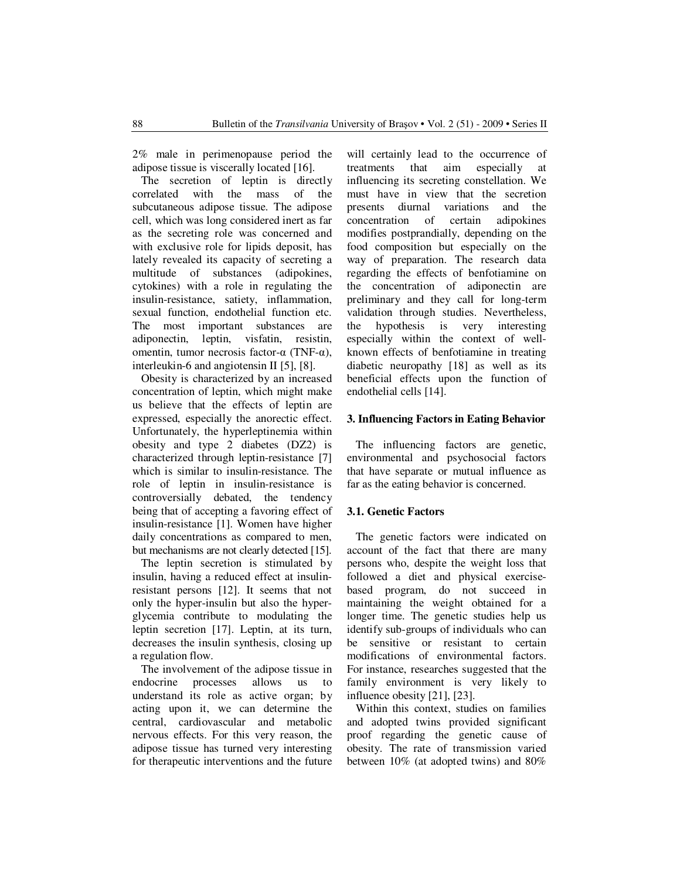2% male in perimenopause period the adipose tissue is viscerally located [16].

The secretion of leptin is directly correlated with the mass of the subcutaneous adipose tissue. The adipose cell, which was long considered inert as far as the secreting role was concerned and with exclusive role for lipids deposit, has lately revealed its capacity of secreting a multitude of substances (adipokines, cytokines) with a role in regulating the insulin-resistance, satiety, inflammation, sexual function, endothelial function etc. The most important substances are adiponectin, leptin, visfatin, resistin, omentin, tumor necrosis factor-α (TNF-α), interleukin-6 and angiotensin II [5], [8].

Obesity is characterized by an increased concentration of leptin, which might make us believe that the effects of leptin are expressed, especially the anorectic effect. Unfortunately, the hyperleptinemia within obesity and type 2 diabetes (DZ2) is characterized through leptin-resistance [7] which is similar to insulin-resistance. The role of leptin in insulin-resistance is controversially debated, the tendency being that of accepting a favoring effect of insulin-resistance [1]. Women have higher daily concentrations as compared to men, but mechanisms are not clearly detected [15].

The leptin secretion is stimulated by insulin, having a reduced effect at insulinresistant persons [12]. It seems that not only the hyper-insulin but also the hyperglycemia contribute to modulating the leptin secretion [17]. Leptin, at its turn, decreases the insulin synthesis, closing up a regulation flow.

The involvement of the adipose tissue in endocrine processes allows us to understand its role as active organ; by acting upon it, we can determine the central, cardiovascular and metabolic nervous effects. For this very reason, the adipose tissue has turned very interesting for therapeutic interventions and the future will certainly lead to the occurrence of treatments that aim especially at influencing its secreting constellation. We must have in view that the secretion presents diurnal variations and the concentration of certain adipokines modifies postprandially, depending on the food composition but especially on the way of preparation. The research data regarding the effects of benfotiamine on the concentration of adiponectin are preliminary and they call for long-term validation through studies. Nevertheless, the hypothesis is very interesting especially within the context of wellknown effects of benfotiamine in treating diabetic neuropathy [18] as well as its beneficial effects upon the function of endothelial cells [14].

#### **3. Influencing Factors in Eating Behavior**

The influencing factors are genetic, environmental and psychosocial factors that have separate or mutual influence as far as the eating behavior is concerned.

### **3.1. Genetic Factors**

The genetic factors were indicated on account of the fact that there are many persons who, despite the weight loss that followed a diet and physical exercisebased program, do not succeed in maintaining the weight obtained for a longer time. The genetic studies help us identify sub-groups of individuals who can be sensitive or resistant to certain modifications of environmental factors. For instance, researches suggested that the family environment is very likely to influence obesity [21], [23].

Within this context, studies on families and adopted twins provided significant proof regarding the genetic cause of obesity. The rate of transmission varied between 10% (at adopted twins) and 80%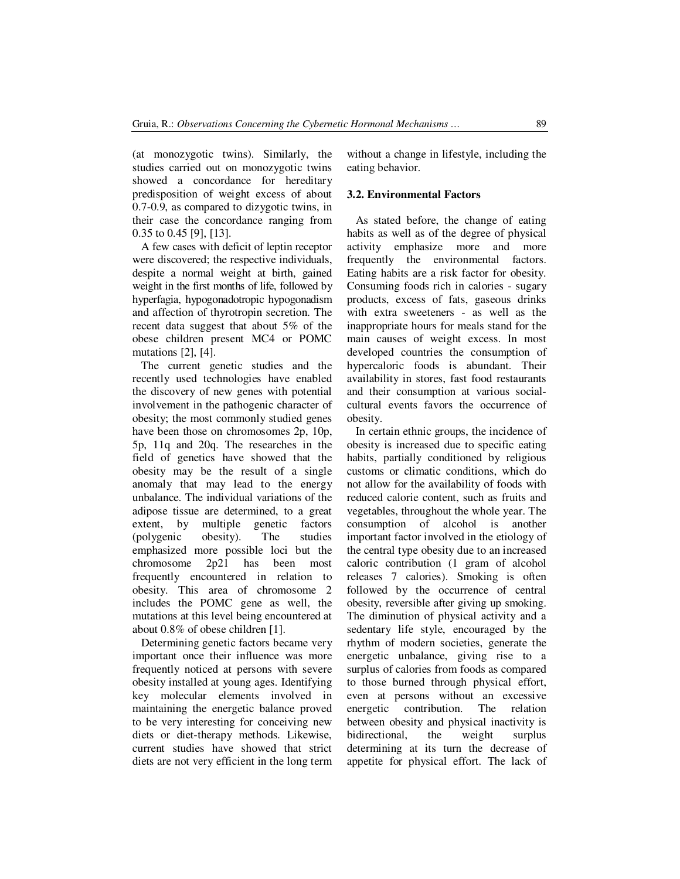(at monozygotic twins). Similarly, the studies carried out on monozygotic twins showed a concordance for hereditary predisposition of weight excess of about 0.7-0.9, as compared to dizygotic twins, in their case the concordance ranging from 0.35 to 0.45 [9], [13].

A few cases with deficit of leptin receptor were discovered; the respective individuals, despite a normal weight at birth, gained weight in the first months of life, followed by hyperfagia, hypogonadotropic hypogonadism and affection of thyrotropin secretion. The recent data suggest that about 5% of the obese children present MC4 or POMC mutations [2], [4].

The current genetic studies and the recently used technologies have enabled the discovery of new genes with potential involvement in the pathogenic character of obesity; the most commonly studied genes have been those on chromosomes 2p, 10p, 5p, 11q and 20q. The researches in the field of genetics have showed that the obesity may be the result of a single anomaly that may lead to the energy unbalance. The individual variations of the adipose tissue are determined, to a great extent, by multiple genetic factors<br>(polygenic obesity). The studies (polygenic obesity). The studies emphasized more possible loci but the chromosome 2p21 has been most frequently encountered in relation to obesity. This area of chromosome 2 includes the POMC gene as well, the mutations at this level being encountered at about 0.8% of obese children [1].

Determining genetic factors became very important once their influence was more frequently noticed at persons with severe obesity installed at young ages. Identifying key molecular elements involved in maintaining the energetic balance proved to be very interesting for conceiving new diets or diet-therapy methods. Likewise, current studies have showed that strict diets are not very efficient in the long term without a change in lifestyle, including the eating behavior.

### **3.2. Environmental Factors**

As stated before, the change of eating habits as well as of the degree of physical activity emphasize more and more frequently the environmental factors. Eating habits are a risk factor for obesity. Consuming foods rich in calories - sugary products, excess of fats, gaseous drinks with extra sweeteners - as well as the inappropriate hours for meals stand for the main causes of weight excess. In most developed countries the consumption of hypercaloric foods is abundant. Their availability in stores, fast food restaurants and their consumption at various socialcultural events favors the occurrence of obesity.

In certain ethnic groups, the incidence of obesity is increased due to specific eating habits, partially conditioned by religious customs or climatic conditions, which do not allow for the availability of foods with reduced calorie content, such as fruits and vegetables, throughout the whole year. The consumption of alcohol is another important factor involved in the etiology of the central type obesity due to an increased caloric contribution (1 gram of alcohol releases 7 calories). Smoking is often followed by the occurrence of central obesity, reversible after giving up smoking. The diminution of physical activity and a sedentary life style, encouraged by the rhythm of modern societies, generate the energetic unbalance, giving rise to a surplus of calories from foods as compared to those burned through physical effort, even at persons without an excessive energetic contribution. The relation between obesity and physical inactivity is bidirectional, the weight surplus determining at its turn the decrease of appetite for physical effort. The lack of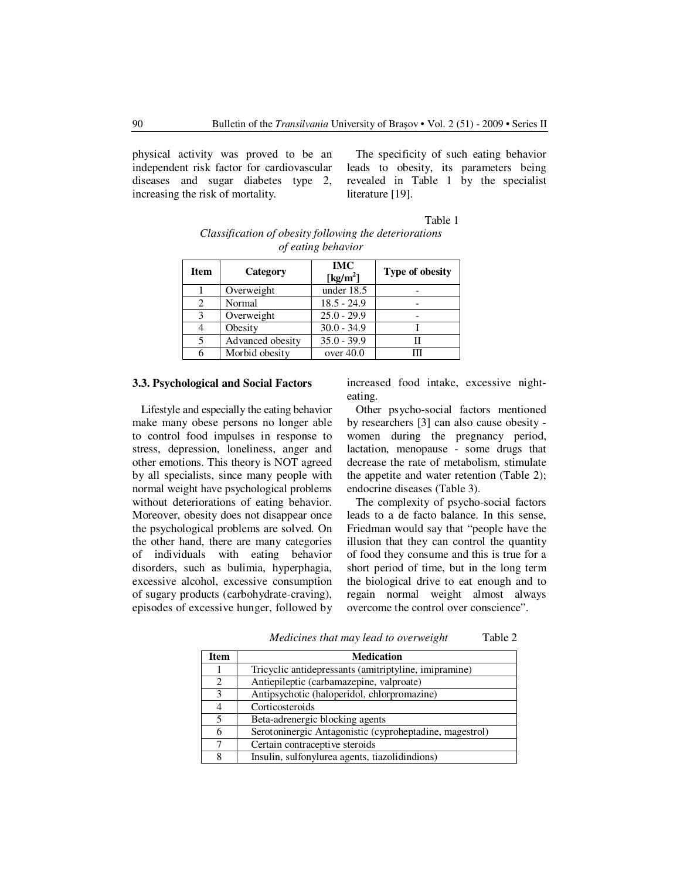physical activity was proved to be an independent risk factor for cardiovascular diseases and sugar diabetes type 2, increasing the risk of mortality.

The specificity of such eating behavior leads to obesity, its parameters being revealed in Table 1 by the specialist literature [19].

| Table 1 |
|---------|
|---------|

| Classification of obesity following the deteriorations |  |
|--------------------------------------------------------|--|
| of eating behavior                                     |  |

| <b>Item</b> | Category         | <b>IMC</b><br>[ $kg/m2$ ] | <b>Type of obesity</b> |
|-------------|------------------|---------------------------|------------------------|
|             | Overweight       | under 18.5                |                        |
| 2           | Normal           | $18.5 - 24.9$             |                        |
| 3           | Overweight       | $25.0 - 29.9$             |                        |
|             | Obesity          | $30.0 - 34.9$             |                        |
| 5           | Advanced obesity | $35.0 - 39.9$             |                        |
| 6           | Morbid obesity   | over $40.0$               | Ш                      |

#### **3.3. Psychological and Social Factors**

Lifestyle and especially the eating behavior make many obese persons no longer able to control food impulses in response to stress, depression, loneliness, anger and other emotions. This theory is NOT agreed by all specialists, since many people with normal weight have psychological problems without deteriorations of eating behavior. Moreover, obesity does not disappear once the psychological problems are solved. On the other hand, there are many categories of individuals with eating behavior disorders, such as bulimia, hyperphagia, excessive alcohol, excessive consumption of sugary products (carbohydrate-craving), episodes of excessive hunger, followed by

increased food intake, excessive nighteating.

Other psycho-social factors mentioned by researchers [3] can also cause obesity women during the pregnancy period, lactation, menopause - some drugs that decrease the rate of metabolism, stimulate the appetite and water retention (Table 2); endocrine diseases (Table 3).

The complexity of psycho-social factors leads to a de facto balance. In this sense, Friedman would say that "people have the illusion that they can control the quantity of food they consume and this is true for a short period of time, but in the long term the biological drive to eat enough and to regain normal weight almost always overcome the control over conscience".

| <b>Item</b>    | <b>Medication</b>                                       |
|----------------|---------------------------------------------------------|
|                | Tricyclic antidepressants (amitriptyline, imipramine)   |
| $\mathfrak{D}$ | Antiepileptic (carbamazepine, valproate)                |
| 3              | Antipsychotic (haloperidol, chlorpromazine)             |
|                | Corticosteroids                                         |
| 5              | Beta-adrenergic blocking agents                         |
| 6              | Serotoninergic Antagonistic (cyproheptadine, magestrol) |
| ⇁              | Certain contraceptive steroids                          |
| 8              | Insulin, sulfonylurea agents, tiazolidindions)          |

*Medicines that may lead to overweight* Table 2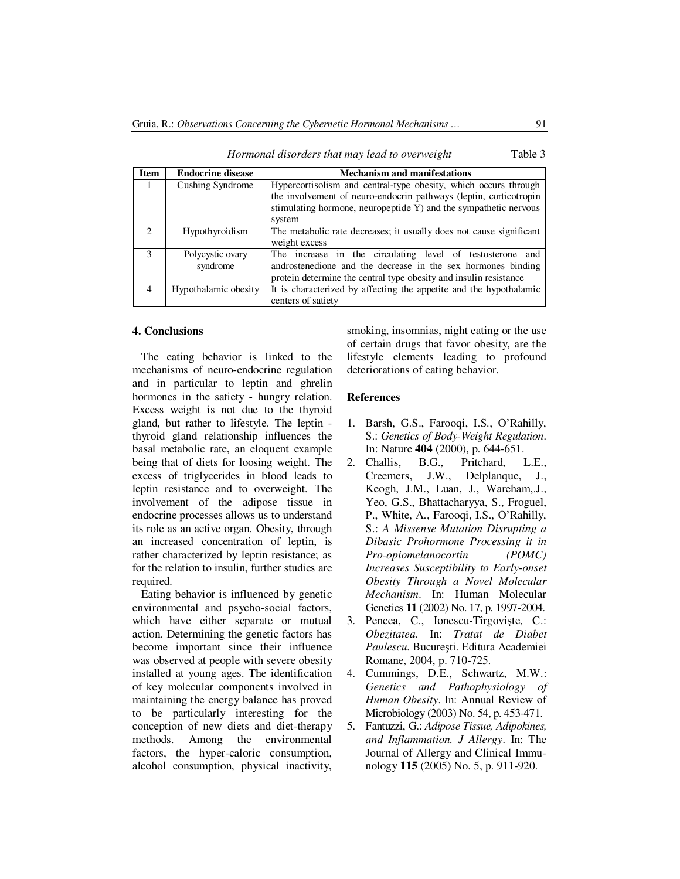| <b>Item</b>  | <b>Endocrine disease</b>     | <b>Mechanism and manifestations</b>                                                                                                                                                                                |
|--------------|------------------------------|--------------------------------------------------------------------------------------------------------------------------------------------------------------------------------------------------------------------|
| 1            | Cushing Syndrome             | Hypercortisolism and central-type obesity, which occurs through<br>the involvement of neuro-endocrin pathways (leptin, corticotropin<br>stimulating hormone, neuropeptide Y) and the sympathetic nervous<br>system |
|              | Hypothyroidism               | The metabolic rate decreases; it usually does not cause significant<br>weight excess                                                                                                                               |
| $\mathbf{3}$ | Polycystic ovary<br>syndrome | The increase in the circulating level of testosterone and<br>androstenedione and the decrease in the sex hormones binding<br>protein determine the central type obesity and insulin resistance                     |
| 4            | Hypothalamic obesity         | It is characterized by affecting the appetite and the hypothalamic<br>centers of satiety                                                                                                                           |

*Hormonal disorders that may lead to overweight* Table 3

#### **4. Conclusions**

The eating behavior is linked to the mechanisms of neuro-endocrine regulation and in particular to leptin and ghrelin hormones in the satiety - hungry relation. Excess weight is not due to the thyroid gland, but rather to lifestyle. The leptin thyroid gland relationship influences the basal metabolic rate, an eloquent example being that of diets for loosing weight. The excess of triglycerides in blood leads to leptin resistance and to overweight. The involvement of the adipose tissue in endocrine processes allows us to understand its role as an active organ. Obesity, through an increased concentration of leptin, is rather characterized by leptin resistance; as for the relation to insulin, further studies are required.

Eating behavior is influenced by genetic environmental and psycho-social factors, which have either separate or mutual action. Determining the genetic factors has become important since their influence was observed at people with severe obesity installed at young ages. The identification of key molecular components involved in maintaining the energy balance has proved to be particularly interesting for the conception of new diets and diet-therapy methods. Among the environmental factors, the hyper-caloric consumption, alcohol consumption, physical inactivity, smoking, insomnias, night eating or the use of certain drugs that favor obesity, are the lifestyle elements leading to profound deteriorations of eating behavior.

#### **References**

- 1. Barsh, G.S., Farooqi, I.S., O'Rahilly, S.: *Genetics of Body-Weight Regulation*. In: Nature **404** (2000), p. 644-651.
- 2. Challis, B.G., Pritchard, L.E., Creemers, J.W., Delplanque, J., Keogh, J.M., Luan, J., Wareham,.J., Yeo, G.S., Bhattacharyya, S., Froguel, P., White, A., Farooqi, I.S., O'Rahilly, S.: *A Missense Mutation Disrupting a Dibasic Prohormone Processing it in Pro-opiomelanocortin (POMC) Increases Susceptibility to Early-onset Obesity Through a Novel Molecular Mechanism*. In: Human Molecular Genetics **11** (2002) No. 17, p. 1997-2004.
- 3. Pencea, C., Ionescu-Tîrgovişte, C.: *Obezitatea*. In: *Tratat de Diabet Paulescu*. Bucureşti. Editura Academiei Romane, 2004, p. 710-725.
- 4. Cummings, D.E., Schwartz, M.W.: *Genetics and Pathophysiology of Human Obesity*. In: Annual Review of Microbiology (2003) No. 54, p. 453-471.
- 5. Fantuzzi, G.: *Adipose Tissue, Adipokines, and Inflammation. J Allergy*. In: The Journal of Allergy and Clinical Immunology **115** (2005) No. 5, p. 911-920.